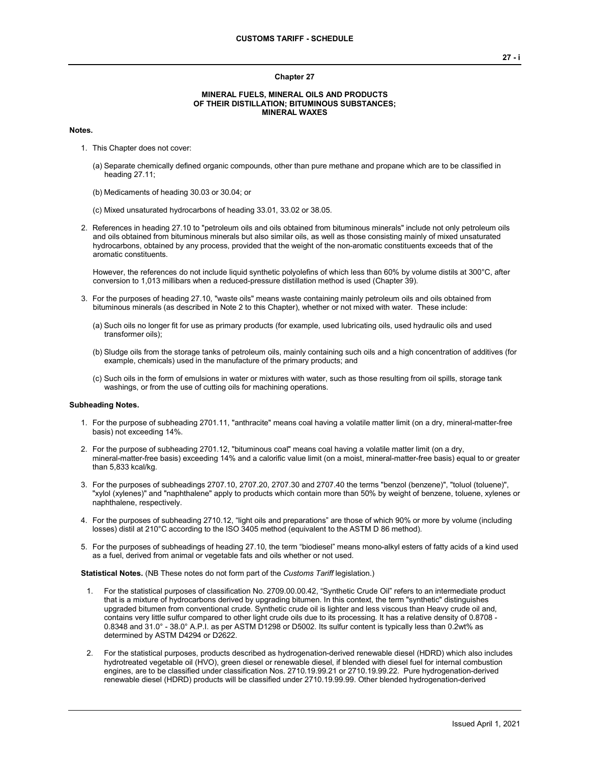#### **Chapter 27**

## **MINERAL FUELS, MINERAL OILS AND PRODUCTS OF THEIR DISTILLATION; BITUMINOUS SUBSTANCES; MINERAL WAXES**

### **Notes.**

- 1. This Chapter does not cover:
	- (a) Separate chemically defined organic compounds, other than pure methane and propane which are to be classified in heading 27.11;
	- (b) Medicaments of heading 30.03 or 30.04; or
	- (c) Mixed unsaturated hydrocarbons of heading 33.01, 33.02 or 38.05.
- 2. References in heading 27.10 to "petroleum oils and oils obtained from bituminous minerals" include not only petroleum oils and oils obtained from bituminous minerals but also similar oils, as well as those consisting mainly of mixed unsaturated hydrocarbons, obtained by any process, provided that the weight of the non-aromatic constituents exceeds that of the aromatic constituents.

However, the references do not include liquid synthetic polyolefins of which less than 60% by volume distils at 300°C, after conversion to 1,013 millibars when a reduced-pressure distillation method is used (Chapter 39).

- 3. For the purposes of heading 27.10, "waste oils" means waste containing mainly petroleum oils and oils obtained from bituminous minerals (as described in Note 2 to this Chapter), whether or not mixed with water. These include:
	- (a) Such oils no longer fit for use as primary products (for example, used lubricating oils, used hydraulic oils and used transformer oils);
	- (b) Sludge oils from the storage tanks of petroleum oils, mainly containing such oils and a high concentration of additives (for example, chemicals) used in the manufacture of the primary products; and
	- (c) Such oils in the form of emulsions in water or mixtures with water, such as those resulting from oil spills, storage tank washings, or from the use of cutting oils for machining operations.

#### **Subheading Notes.**

- 1. For the purpose of subheading 2701.11, "anthracite" means coal having a volatile matter limit (on a dry, mineral-matter-free basis) not exceeding 14%.
- 2. For the purpose of subheading 2701.12, "bituminous coal" means coal having a volatile matter limit (on a dry, mineral-matter-free basis) exceeding 14% and a calorific value limit (on a moist, mineral-matter-free basis) equal to or greater than 5,833 kcal/kg.
- 3. For the purposes of subheadings 2707.10, 2707.20, 2707.30 and 2707.40 the terms "benzol (benzene)", "toluol (toluene)", "xylol (xylenes)" and "naphthalene" apply to products which contain more than 50% by weight of benzene, toluene, xylenes or naphthalene, respectively.
- 4. For the purposes of subheading 2710.12, "light oils and preparations" are those of which 90% or more by volume (including losses) distil at 210°C according to the ISO 3405 method (equivalent to the ASTM D 86 method).
- 5. For the purposes of subheadings of heading 27.10, the term "biodiesel" means mono-alkyl esters of fatty acids of a kind used as a fuel, derived from animal or vegetable fats and oils whether or not used.

**Statistical Notes.** (NB These notes do not form part of the *Customs Tariff* legislation.)

- 1. For the statistical purposes of classification No. 2709.00.00.42, "Synthetic Crude Oil" refers to an intermediate product that is a mixture of hydrocarbons derived by upgrading bitumen. In this context, the term "synthetic" distinguishes upgraded bitumen from conventional crude. Synthetic crude oil is lighter and less viscous than Heavy crude oil and, contains very little sulfur compared to other light crude oils due to its processing. It has a relative density of 0.8708 - 0.8348 and 31.0° - 38.0° A.P.I. as per ASTM D1298 or D5002. Its sulfur content is typically less than 0.2wt% as determined by ASTM D4294 or D2622.
- 2. For the statistical purposes, products described as hydrogenation-derived renewable diesel (HDRD) which also includes hydrotreated vegetable oil (HVO), green diesel or renewable diesel, if blended with diesel fuel for internal combustion engines, are to be classified under classification Nos. 2710.19.99.21 or 2710.19.99.22. Pure hydrogenation-derived renewable diesel (HDRD) products will be classified under 2710.19.99.99. Other blended hydrogenation-derived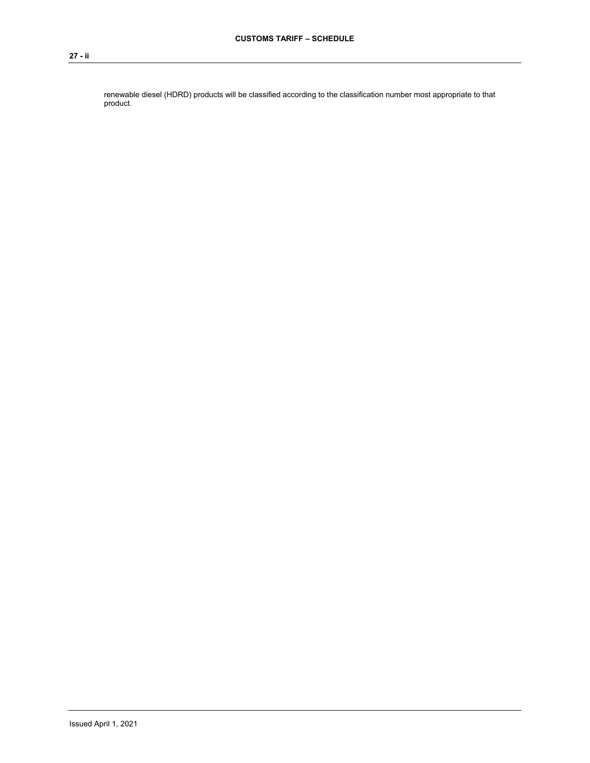renewable diesel (HDRD) products will be classified according to the classification number most appropriate to that product.

## **27 - ii**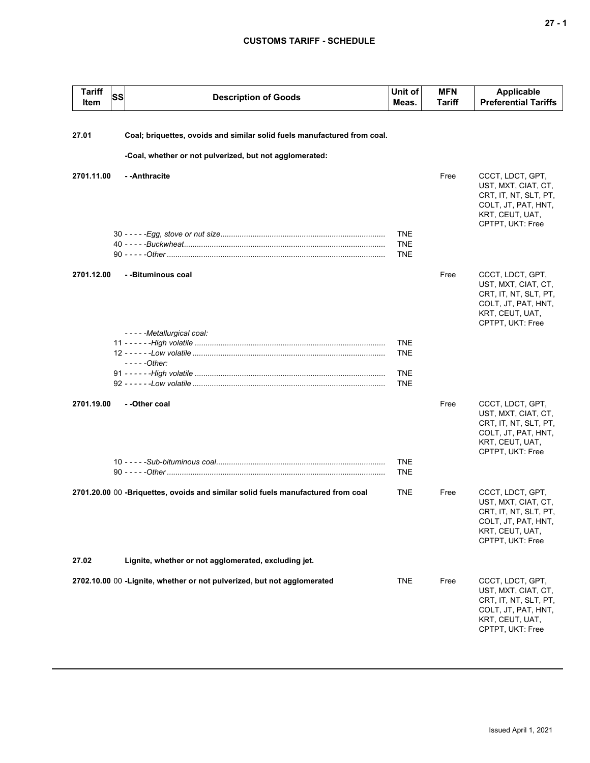# **CUSTOMS TARIFF - SCHEDULE**

| <b>Tariff</b><br>Item | <b>SS</b> | <b>Description of Goods</b>                                                      | Unit of<br>Meas.         | <b>MFN</b><br>Tariff | <b>Applicable</b><br><b>Preferential Tariffs</b>                                                                               |
|-----------------------|-----------|----------------------------------------------------------------------------------|--------------------------|----------------------|--------------------------------------------------------------------------------------------------------------------------------|
| 27.01                 |           | Coal; briquettes, ovoids and similar solid fuels manufactured from coal.         |                          |                      |                                                                                                                                |
|                       |           | -Coal, whether or not pulverized, but not agglomerated:                          |                          |                      |                                                                                                                                |
| 2701.11.00            |           | - - Anthracite                                                                   |                          | Free                 | CCCT, LDCT, GPT,                                                                                                               |
|                       |           |                                                                                  |                          |                      | UST, MXT, CIAT, CT,<br>CRT, IT, NT, SLT, PT,<br>COLT, JT, PAT, HNT,<br>KRT, CEUT, UAT,<br>CPTPT, UKT: Free                     |
|                       |           |                                                                                  | <b>TNE</b>               |                      |                                                                                                                                |
|                       |           |                                                                                  | <b>TNE</b><br><b>TNE</b> |                      |                                                                                                                                |
| 2701.12.00            |           | - -Bituminous coal                                                               |                          | Free                 | CCCT, LDCT, GPT,<br>UST, MXT, CIAT, CT,<br>CRT, IT, NT, SLT, PT,<br>COLT, JT, PAT, HNT,<br>KRT, CEUT, UAT,<br>CPTPT, UKT: Free |
|                       |           | - - - - - Metallurgical coal:                                                    | <b>TNE</b>               |                      |                                                                                                                                |
|                       |           |                                                                                  | <b>TNE</b>               |                      |                                                                                                                                |
|                       |           | $---Other:$                                                                      | <b>TNE</b>               |                      |                                                                                                                                |
|                       |           |                                                                                  | <b>TNE</b>               |                      |                                                                                                                                |
| 2701.19.00            |           | - -Other coal                                                                    |                          | Free                 | CCCT, LDCT, GPT,<br>UST, MXT, CIAT, CT,<br>CRT, IT, NT, SLT, PT,<br>COLT, JT, PAT, HNT,<br>KRT, CEUT, UAT,<br>CPTPT, UKT: Free |
|                       |           |                                                                                  | <b>TNE</b><br><b>TNE</b> |                      |                                                                                                                                |
|                       |           | 2701.20.00 00 -Briquettes, ovoids and similar solid fuels manufactured from coal | <b>TNE</b>               | Free                 | CCCT, LDCT, GPT,<br>UST, MXT, CIAT, CT,<br>CRT, IT, NT, SLT, PT,<br>COLT, JT, PAT, HNT,<br>KRT, CEUT, UAT,<br>CPTPT, UKT: Free |
| 27.02                 |           | Lignite, whether or not agglomerated, excluding jet.                             |                          |                      |                                                                                                                                |
|                       |           | 2702.10.00 00 - Lignite, whether or not pulverized, but not agglomerated         | <b>TNE</b>               | Free                 | CCCT, LDCT, GPT,<br>UST, MXT, CIAT, CT,<br>CRT, IT, NT, SLT, PT,<br>COLT, JT, PAT, HNT,<br>KRT, CEUT, UAT,<br>CPTPT, UKT: Free |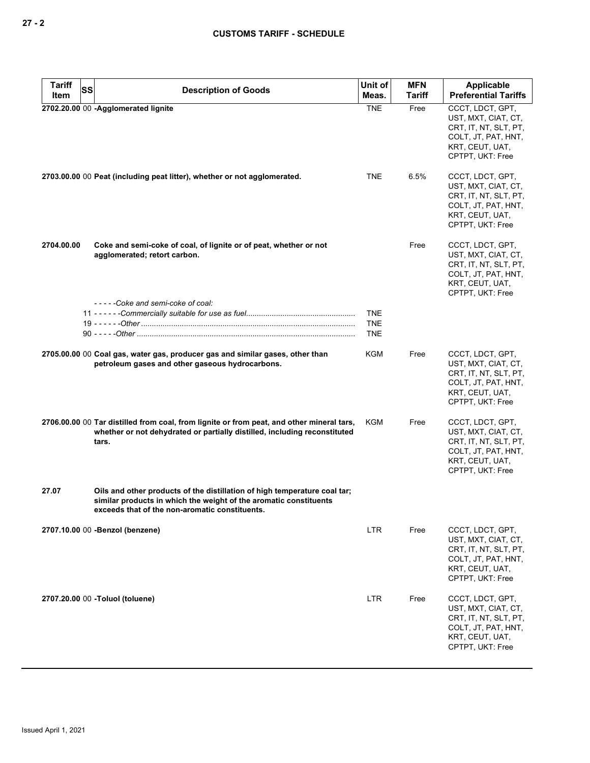| <b>Tariff</b> | SS | <b>Description of Goods</b>                                                                                                                                                                      | Unit of                                | <b>MFN</b> | Applicable                                                                                                                     |
|---------------|----|--------------------------------------------------------------------------------------------------------------------------------------------------------------------------------------------------|----------------------------------------|------------|--------------------------------------------------------------------------------------------------------------------------------|
| Item          |    |                                                                                                                                                                                                  | Meas.                                  | Tariff     | <b>Preferential Tariffs</b>                                                                                                    |
|               |    | 2702.20.00 00 -Agglomerated lignite                                                                                                                                                              | <b>TNE</b>                             | Free       | CCCT, LDCT, GPT,<br>UST, MXT, CIAT, CT,<br>CRT, IT, NT, SLT, PT,<br>COLT, JT, PAT, HNT,<br>KRT, CEUT, UAT,<br>CPTPT, UKT: Free |
|               |    | 2703.00.00 00 Peat (including peat litter), whether or not agglomerated.                                                                                                                         | <b>TNE</b>                             | 6.5%       | CCCT, LDCT, GPT,<br>UST, MXT, CIAT, CT,<br>CRT, IT, NT, SLT, PT,<br>COLT, JT, PAT, HNT,<br>KRT, CEUT, UAT,<br>CPTPT, UKT: Free |
| 2704.00.00    |    | Coke and semi-coke of coal, of lignite or of peat, whether or not<br>agglomerated; retort carbon.                                                                                                |                                        | Free       | CCCT, LDCT, GPT,<br>UST, MXT, CIAT, CT,<br>CRT, IT, NT, SLT, PT,<br>COLT, JT, PAT, HNT,<br>KRT, CEUT, UAT,<br>CPTPT, UKT: Free |
|               |    | -----Coke and semi-coke of coal:                                                                                                                                                                 | <b>TNE</b><br><b>TNE</b><br><b>TNE</b> |            |                                                                                                                                |
|               |    | 2705.00.00 00 Coal gas, water gas, producer gas and similar gases, other than<br>petroleum gases and other gaseous hydrocarbons.                                                                 | KGM                                    | Free       | CCCT, LDCT, GPT,<br>UST, MXT, CIAT, CT,<br>CRT, IT, NT, SLT, PT,<br>COLT, JT, PAT, HNT,<br>KRT, CEUT, UAT,<br>CPTPT, UKT: Free |
|               |    | 2706.00.00 00 Tar distilled from coal, from lignite or from peat, and other mineral tars,<br>whether or not dehydrated or partially distilled, including reconstituted<br>tars.                  | KGM                                    | Free       | CCCT, LDCT, GPT,<br>UST, MXT, CIAT, CT,<br>CRT, IT, NT, SLT, PT,<br>COLT, JT, PAT, HNT,<br>KRT, CEUT, UAT,<br>CPTPT, UKT: Free |
| 27.07         |    | Oils and other products of the distillation of high temperature coal tar;<br>similar products in which the weight of the aromatic constituents<br>exceeds that of the non-aromatic constituents. |                                        |            |                                                                                                                                |
|               |    | 2707.10.00 00 -Benzol (benzene)                                                                                                                                                                  | <b>LTR</b>                             | Free       | CCCT, LDCT, GPT,<br>UST, MXT, CIAT, CT,<br>CRT, IT, NT, SLT, PT,<br>COLT, JT, PAT, HNT,<br>KRT, CEUT, UAT,<br>CPTPT, UKT: Free |
|               |    | 2707.20.00 00 - Toluol (toluene)                                                                                                                                                                 | <b>LTR</b>                             | Free       | CCCT, LDCT, GPT,<br>UST, MXT, CIAT, CT,<br>CRT, IT, NT, SLT, PT,<br>COLT, JT, PAT, HNT,<br>KRT, CEUT, UAT,<br>CPTPT, UKT: Free |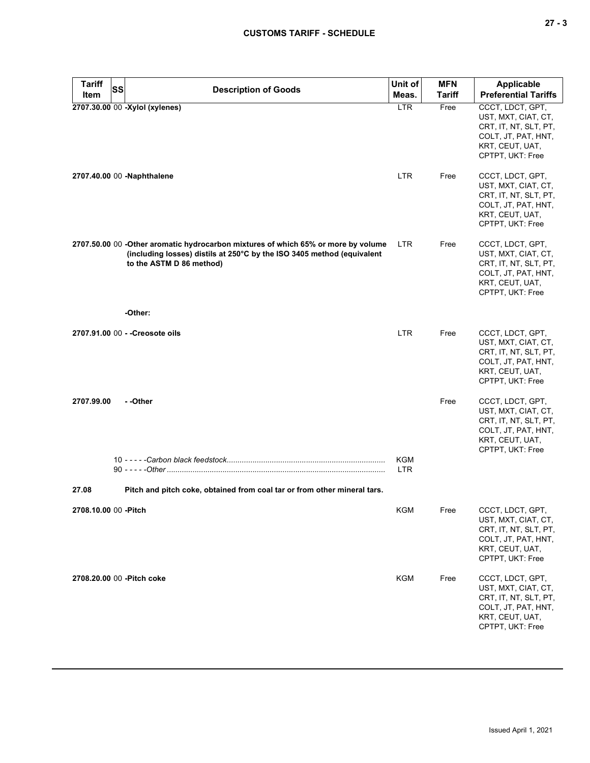| <b>Tariff</b>         | <b>SS</b><br><b>Description of Goods</b>                                                                                                                                                | Unit of                  | <b>MFN</b>    | Applicable                                                                                                                     |
|-----------------------|-----------------------------------------------------------------------------------------------------------------------------------------------------------------------------------------|--------------------------|---------------|--------------------------------------------------------------------------------------------------------------------------------|
| Item                  |                                                                                                                                                                                         | Meas.                    | <b>Tariff</b> | <b>Preferential Tariffs</b>                                                                                                    |
|                       | 2707.30.00 00 -Xylol (xylenes)                                                                                                                                                          | <b>LTR</b>               | Free          | CCCT, LDCT, GPT,<br>UST, MXT, CIAT, CT,<br>CRT, IT, NT, SLT, PT,<br>COLT, JT, PAT, HNT,<br>KRT, CEUT, UAT,<br>CPTPT, UKT: Free |
|                       | 2707.40.00 00 -Naphthalene                                                                                                                                                              | <b>LTR</b>               | Free          | CCCT, LDCT, GPT,<br>UST, MXT, CIAT, CT,<br>CRT, IT, NT, SLT, PT,<br>COLT, JT, PAT, HNT,<br>KRT, CEUT, UAT,<br>CPTPT, UKT: Free |
|                       | 2707.50.00 00 -Other aromatic hydrocarbon mixtures of which 65% or more by volume<br>(including losses) distils at 250°C by the ISO 3405 method (equivalent<br>to the ASTM D 86 method) | LTR.                     | Free          | CCCT, LDCT, GPT,<br>UST, MXT, CIAT, CT,<br>CRT, IT, NT, SLT, PT,<br>COLT, JT, PAT, HNT,<br>KRT, CEUT, UAT,<br>CPTPT, UKT: Free |
|                       | -Other:                                                                                                                                                                                 |                          |               |                                                                                                                                |
|                       | 2707.91.00 00 - - Creosote oils                                                                                                                                                         | <b>LTR</b>               | Free          | CCCT, LDCT, GPT,<br>UST, MXT, CIAT, CT,<br>CRT, IT, NT, SLT, PT,<br>COLT, JT, PAT, HNT,<br>KRT, CEUT, UAT,<br>CPTPT, UKT: Free |
| 2707.99.00            | - -Other                                                                                                                                                                                | <b>KGM</b><br><b>LTR</b> | Free          | CCCT, LDCT, GPT,<br>UST, MXT, CIAT, CT,<br>CRT, IT, NT, SLT, PT,<br>COLT, JT, PAT, HNT,<br>KRT, CEUT, UAT,<br>CPTPT, UKT: Free |
| 27.08                 | Pitch and pitch coke, obtained from coal tar or from other mineral tars.                                                                                                                |                          |               |                                                                                                                                |
| 2708.10.00 00 - Pitch |                                                                                                                                                                                         | KGM                      | Free          | CCCT, LDCT, GPT,<br>UST, MXT, CIAT, CT,<br>CRT, IT, NT, SLT, PT,<br>COLT, JT, PAT, HNT,<br>KRT, CEUT, UAT,<br>CPTPT, UKT: Free |
|                       | 2708.20.00 00 - Pitch coke                                                                                                                                                              | <b>KGM</b>               | Free          | CCCT, LDCT, GPT,<br>UST, MXT, CIAT, CT,<br>CRT, IT, NT, SLT, PT,<br>COLT, JT, PAT, HNT,<br>KRT, CEUT, UAT,<br>CPTPT, UKT: Free |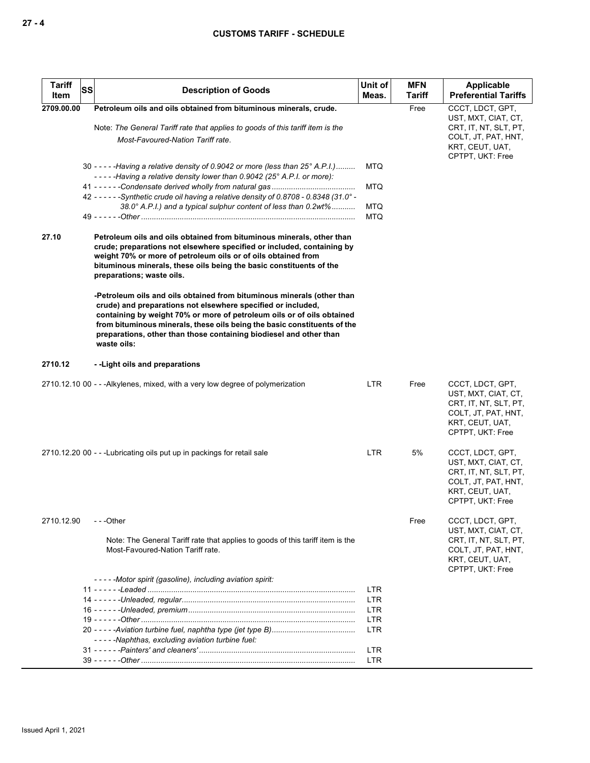| <b>Tariff</b><br>Item | <b>SS</b> | <b>Description of Goods</b>                                                                                                                                                                                                                                                                                                                                                       | Unit of<br>Meas.         | <b>MFN</b><br><b>Tariff</b> | <b>Applicable</b><br><b>Preferential Tariffs</b>                                                                               |
|-----------------------|-----------|-----------------------------------------------------------------------------------------------------------------------------------------------------------------------------------------------------------------------------------------------------------------------------------------------------------------------------------------------------------------------------------|--------------------------|-----------------------------|--------------------------------------------------------------------------------------------------------------------------------|
| 2709.00.00            |           | Petroleum oils and oils obtained from bituminous minerals, crude.                                                                                                                                                                                                                                                                                                                 |                          | Free                        | CCCT, LDCT, GPT,                                                                                                               |
|                       |           | Note: The General Tariff rate that applies to goods of this tariff item is the<br>Most-Favoured-Nation Tariff rate.                                                                                                                                                                                                                                                               |                          |                             | UST, MXT, CIAT, CT,<br>CRT, IT, NT, SLT, PT,<br>COLT, JT, PAT, HNT,<br>KRT, CEUT, UAT,<br>CPTPT, UKT: Free                     |
|                       |           | 30 - - - - - Having a relative density of 0.9042 or more (less than 25° A.P.I.)<br>-----Having a relative density lower than 0.9042 (25° A.P.I. or more):                                                                                                                                                                                                                         | <b>MTQ</b><br><b>MTQ</b> |                             |                                                                                                                                |
|                       |           | 42 - - - - - - Synthetic crude oil having a relative density of 0.8708 - 0.8348 (31.0° -<br>38.0° A.P.I.) and a typical sulphur content of less than 0.2wt%                                                                                                                                                                                                                       | <b>MTQ</b>               |                             |                                                                                                                                |
|                       |           |                                                                                                                                                                                                                                                                                                                                                                                   | MTQ                      |                             |                                                                                                                                |
| 27.10                 |           | Petroleum oils and oils obtained from bituminous minerals, other than<br>crude; preparations not elsewhere specified or included, containing by<br>weight 70% or more of petroleum oils or of oils obtained from<br>bituminous minerals, these oils being the basic constituents of the<br>preparations; waste oils.                                                              |                          |                             |                                                                                                                                |
|                       |           | -Petroleum oils and oils obtained from bituminous minerals (other than<br>crude) and preparations not elsewhere specified or included,<br>containing by weight 70% or more of petroleum oils or of oils obtained<br>from bituminous minerals, these oils being the basic constituents of the<br>preparations, other than those containing biodiesel and other than<br>waste oils: |                          |                             |                                                                                                                                |
| 2710.12               |           | --Light oils and preparations                                                                                                                                                                                                                                                                                                                                                     |                          |                             |                                                                                                                                |
|                       |           | 2710.12.10 00 - - - Alkylenes, mixed, with a very low degree of polymerization                                                                                                                                                                                                                                                                                                    | LTR                      | Free                        | CCCT, LDCT, GPT,<br>UST, MXT, CIAT, CT,<br>CRT, IT, NT, SLT, PT,<br>COLT, JT, PAT, HNT,<br>KRT, CEUT, UAT,<br>CPTPT, UKT: Free |
|                       |           | 2710.12.20 00 - - - Lubricating oils put up in packings for retail sale                                                                                                                                                                                                                                                                                                           | <b>LTR</b>               | 5%                          | CCCT, LDCT, GPT,<br>UST, MXT, CIAT, CT,<br>CRT, IT, NT, SLT, PT,<br>COLT, JT, PAT, HNT,<br>KRT, CEUT, UAT,<br>CPTPT, UKT: Free |
| 2710.12.90            |           | ---Other                                                                                                                                                                                                                                                                                                                                                                          |                          | Free                        | CCCT, LDCT, GPT,<br>UST, MXT, CIAT, CT,                                                                                        |
|                       |           | Note: The General Tariff rate that applies to goods of this tariff item is the<br>Most-Favoured-Nation Tariff rate.                                                                                                                                                                                                                                                               |                          |                             | CRT, IT, NT, SLT, PT,<br>COLT, JT, PAT, HNT,<br>KRT, CEUT, UAT,<br>CPTPT, UKT: Free                                            |
|                       |           | -----Motor spirit (gasoline), including aviation spirit:                                                                                                                                                                                                                                                                                                                          |                          |                             |                                                                                                                                |
|                       |           |                                                                                                                                                                                                                                                                                                                                                                                   | <b>LTR</b>               |                             |                                                                                                                                |
|                       |           |                                                                                                                                                                                                                                                                                                                                                                                   | LTR                      |                             |                                                                                                                                |
|                       |           |                                                                                                                                                                                                                                                                                                                                                                                   | LTR                      |                             |                                                                                                                                |
|                       |           |                                                                                                                                                                                                                                                                                                                                                                                   | LTR                      |                             |                                                                                                                                |
|                       |           |                                                                                                                                                                                                                                                                                                                                                                                   | <b>LTR</b>               |                             |                                                                                                                                |
|                       |           | -----Naphthas, excluding aviation turbine fuel:                                                                                                                                                                                                                                                                                                                                   |                          |                             |                                                                                                                                |
|                       |           |                                                                                                                                                                                                                                                                                                                                                                                   | LTR<br>LTR               |                             |                                                                                                                                |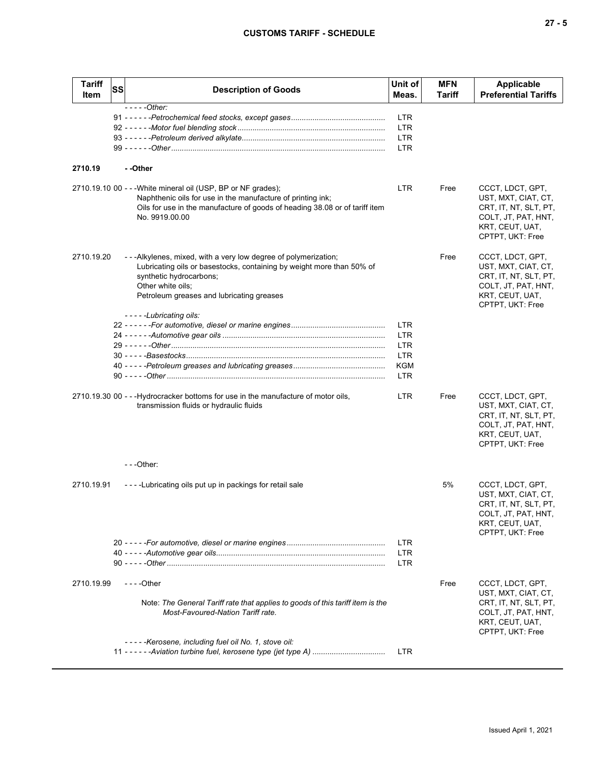| <b>Tariff</b> | <b>SS</b> | <b>Description of Goods</b>                                                                                                                                                                                                                                    | Unit of                  | <b>MFN</b> | <b>Applicable</b>                                                                                                              |
|---------------|-----------|----------------------------------------------------------------------------------------------------------------------------------------------------------------------------------------------------------------------------------------------------------------|--------------------------|------------|--------------------------------------------------------------------------------------------------------------------------------|
| Item          |           |                                                                                                                                                                                                                                                                | Meas.                    | Tariff     | <b>Preferential Tariffs</b>                                                                                                    |
|               |           | $---Other:$                                                                                                                                                                                                                                                    | LTR                      |            |                                                                                                                                |
|               |           |                                                                                                                                                                                                                                                                |                          |            |                                                                                                                                |
|               |           |                                                                                                                                                                                                                                                                | <b>LTR</b><br><b>LTR</b> |            |                                                                                                                                |
|               |           |                                                                                                                                                                                                                                                                | <b>LTR</b>               |            |                                                                                                                                |
|               |           |                                                                                                                                                                                                                                                                |                          |            |                                                                                                                                |
| 2710.19       |           | --Other                                                                                                                                                                                                                                                        |                          |            |                                                                                                                                |
|               |           | 2710.19.10 00 - - - White mineral oil (USP, BP or NF grades);<br>Naphthenic oils for use in the manufacture of printing ink;<br>Oils for use in the manufacture of goods of heading 38.08 or of tariff item<br>No. 9919.00.00                                  | LTR.                     | Free       | CCCT, LDCT, GPT,<br>UST, MXT, CIAT, CT,<br>CRT, IT, NT, SLT, PT,<br>COLT, JT, PAT, HNT,<br>KRT, CEUT, UAT,<br>CPTPT, UKT: Free |
| 2710.19.20    |           | ---Alkylenes, mixed, with a very low degree of polymerization;<br>Lubricating oils or basestocks, containing by weight more than 50% of<br>synthetic hydrocarbons;<br>Other white oils;<br>Petroleum greases and lubricating greases<br>-----Lubricating oils: |                          | Free       | CCCT, LDCT, GPT,<br>UST, MXT, CIAT, CT,<br>CRT, IT, NT, SLT, PT,<br>COLT, JT, PAT, HNT,<br>KRT, CEUT, UAT,<br>CPTPT, UKT: Free |
|               |           |                                                                                                                                                                                                                                                                | <b>LTR</b>               |            |                                                                                                                                |
|               |           |                                                                                                                                                                                                                                                                | <b>LTR</b>               |            |                                                                                                                                |
|               |           |                                                                                                                                                                                                                                                                | LTR                      |            |                                                                                                                                |
|               |           |                                                                                                                                                                                                                                                                | LTR                      |            |                                                                                                                                |
|               |           |                                                                                                                                                                                                                                                                | <b>KGM</b>               |            |                                                                                                                                |
|               |           |                                                                                                                                                                                                                                                                | <b>LTR</b>               |            |                                                                                                                                |
|               |           | 2710.19.30 00 - - - Hydrocracker bottoms for use in the manufacture of motor oils,<br>transmission fluids or hydraulic fluids                                                                                                                                  | <b>LTR</b>               | Free       | CCCT, LDCT, GPT,<br>UST, MXT, CIAT, CT,<br>CRT, IT, NT, SLT, PT,<br>COLT, JT, PAT, HNT,<br>KRT, CEUT, UAT,<br>CPTPT, UKT: Free |
|               |           | ---Other:                                                                                                                                                                                                                                                      |                          |            |                                                                                                                                |
| 2710.19.91    |           | ----Lubricating oils put up in packings for retail sale                                                                                                                                                                                                        |                          | 5%         | CCCT, LDCT, GPT,<br>UST, MXT, CIAT, CT,<br>CRT, IT, NT, SLT, PT,<br>COLT, JT, PAT, HNT,<br>KRT, CEUT, UAT,<br>CPTPT, UKT: Free |
|               |           |                                                                                                                                                                                                                                                                | LTR                      |            |                                                                                                                                |
|               |           |                                                                                                                                                                                                                                                                | LTR                      |            |                                                                                                                                |
|               |           |                                                                                                                                                                                                                                                                | LTR                      |            |                                                                                                                                |
| 2710.19.99    |           |                                                                                                                                                                                                                                                                |                          | Free       | CCCT, LDCT, GPT,                                                                                                               |
|               |           | Note: The General Tariff rate that applies to goods of this tariff item is the<br>Most-Favoured-Nation Tariff rate.                                                                                                                                            |                          |            | UST, MXT, CIAT, CT,<br>CRT, IT, NT, SLT, PT,<br>COLT, JT, PAT, HNT,<br>KRT, CEUT, UAT,<br>CPTPT, UKT: Free                     |
|               |           | -----Kerosene, including fuel oil No. 1, stove oil:                                                                                                                                                                                                            |                          |            |                                                                                                                                |
|               |           | 11 - - - - - - Aviation turbine fuel, kerosene type (jet type A)                                                                                                                                                                                               | <b>LTR</b>               |            |                                                                                                                                |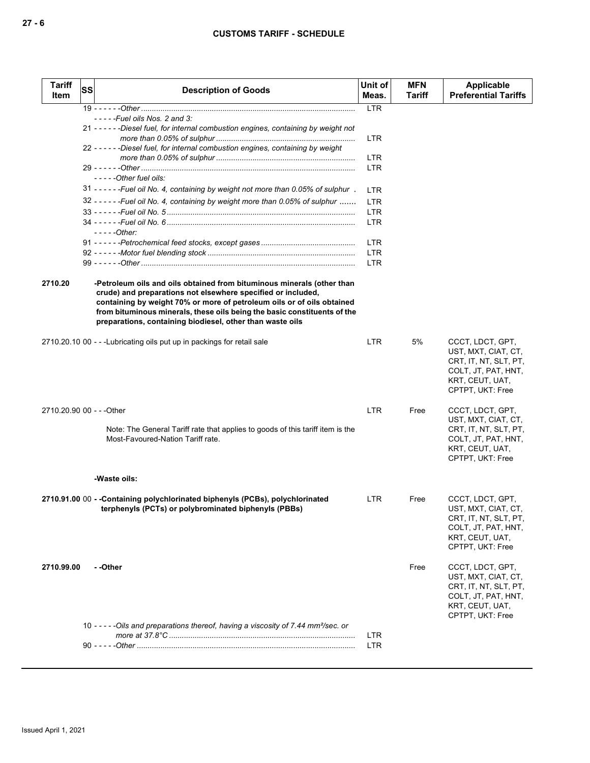| <b>Tariff</b><br>Item     | SS | <b>Description of Goods</b>                                                                                                                                                                                                                                                                                                                               | Unit of<br>Meas. | <b>MFN</b><br>Tariff | Applicable<br><b>Preferential Tariffs</b>                                                                                      |
|---------------------------|----|-----------------------------------------------------------------------------------------------------------------------------------------------------------------------------------------------------------------------------------------------------------------------------------------------------------------------------------------------------------|------------------|----------------------|--------------------------------------------------------------------------------------------------------------------------------|
|                           |    |                                                                                                                                                                                                                                                                                                                                                           | <b>LTR</b>       |                      |                                                                                                                                |
|                           |    | $--$ - - - Fuel oils Nos. 2 and 3:                                                                                                                                                                                                                                                                                                                        |                  |                      |                                                                                                                                |
|                           |    | 21 - - - - - - Diesel fuel, for internal combustion engines, containing by weight not                                                                                                                                                                                                                                                                     | <b>LTR</b>       |                      |                                                                                                                                |
|                           |    | 22 - - - - - - Diesel fuel, for internal combustion engines, containing by weight                                                                                                                                                                                                                                                                         | <b>LTR</b>       |                      |                                                                                                                                |
|                           |    | -----Other fuel oils:                                                                                                                                                                                                                                                                                                                                     | <b>LTR</b>       |                      |                                                                                                                                |
|                           |    | 31 - - - - - - Fuel oil No. 4, containing by weight not more than 0.05% of sulphur.                                                                                                                                                                                                                                                                       | LTR              |                      |                                                                                                                                |
|                           |    | 32 - - - - - - - Fuel oil No. 4, containing by weight more than 0.05% of sulphur                                                                                                                                                                                                                                                                          | <b>LTR</b>       |                      |                                                                                                                                |
|                           |    |                                                                                                                                                                                                                                                                                                                                                           | <b>LTR</b>       |                      |                                                                                                                                |
|                           |    |                                                                                                                                                                                                                                                                                                                                                           | <b>LTR</b>       |                      |                                                                                                                                |
|                           |    | - - - - - Other:                                                                                                                                                                                                                                                                                                                                          |                  |                      |                                                                                                                                |
|                           |    |                                                                                                                                                                                                                                                                                                                                                           | <b>LTR</b>       |                      |                                                                                                                                |
|                           |    |                                                                                                                                                                                                                                                                                                                                                           | <b>LTR</b>       |                      |                                                                                                                                |
|                           |    |                                                                                                                                                                                                                                                                                                                                                           | <b>LTR</b>       |                      |                                                                                                                                |
|                           |    |                                                                                                                                                                                                                                                                                                                                                           |                  |                      |                                                                                                                                |
| 2710.20                   |    | -Petroleum oils and oils obtained from bituminous minerals (other than<br>crude) and preparations not elsewhere specified or included,<br>containing by weight 70% or more of petroleum oils or of oils obtained<br>from bituminous minerals, these oils being the basic constituents of the<br>preparations, containing biodiesel, other than waste oils |                  |                      |                                                                                                                                |
|                           |    | 2710.20.10 00 - - - Lubricating oils put up in packings for retail sale                                                                                                                                                                                                                                                                                   | LTR              | 5%                   | CCCT, LDCT, GPT,<br>UST, MXT, CIAT, CT,<br>CRT, IT, NT, SLT, PT,<br>COLT, JT, PAT, HNT,<br>KRT, CEUT, UAT,<br>CPTPT, UKT: Free |
| 2710.20.90 00 - - - Other |    |                                                                                                                                                                                                                                                                                                                                                           | <b>LTR</b>       | Free                 | CCCT, LDCT, GPT,                                                                                                               |
|                           |    | Note: The General Tariff rate that applies to goods of this tariff item is the<br>Most-Favoured-Nation Tariff rate.                                                                                                                                                                                                                                       |                  |                      | UST, MXT, CIAT, CT,<br>CRT, IT, NT, SLT, PT,<br>COLT, JT, PAT, HNT,<br>KRT, CEUT, UAT,<br>CPTPT, UKT: Free                     |
|                           |    | -Waste oils:                                                                                                                                                                                                                                                                                                                                              |                  |                      |                                                                                                                                |
|                           |    |                                                                                                                                                                                                                                                                                                                                                           |                  |                      |                                                                                                                                |
|                           |    | 2710.91.00 00 - - Containing polychlorinated biphenyls (PCBs), polychlorinated<br>terphenyls (PCTs) or polybrominated biphenyls (PBBs)                                                                                                                                                                                                                    | LTR.             | Free                 | CCCT, LDCT, GPT,<br>UST, MXT, CIAT, CT,<br>CRT, IT, NT, SLT, PT,<br>COLT, JT, PAT, HNT,<br>KRT, CEUT, UAT,<br>CPTPT, UKT: Free |
| 2710.99.00                |    | - -Other                                                                                                                                                                                                                                                                                                                                                  |                  | Free                 | CCCT, LDCT, GPT,<br>UST, MXT, CIAT, CT,<br>CRT, IT, NT, SLT, PT,<br>COLT, JT, PAT, HNT,<br>KRT, CEUT, UAT,<br>CPTPT, UKT: Free |
|                           |    | 10 - - - - - Oils and preparations thereof, having a viscosity of 7.44 mm <sup>2</sup> /sec. or                                                                                                                                                                                                                                                           |                  |                      |                                                                                                                                |
|                           |    |                                                                                                                                                                                                                                                                                                                                                           | LTR.             |                      |                                                                                                                                |
|                           |    |                                                                                                                                                                                                                                                                                                                                                           | <b>LTR</b>       |                      |                                                                                                                                |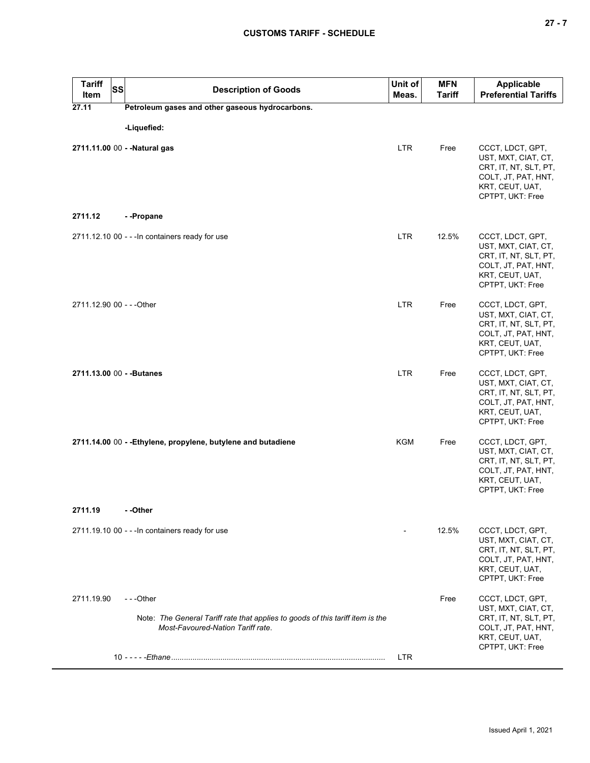| <b>Tariff</b><br><b>SS</b><br>Item | <b>Description of Goods</b>                                                                                                     | Unit of<br>Meas. | <b>MFN</b><br><b>Tariff</b> | <b>Applicable</b><br><b>Preferential Tariffs</b>                                                                               |
|------------------------------------|---------------------------------------------------------------------------------------------------------------------------------|------------------|-----------------------------|--------------------------------------------------------------------------------------------------------------------------------|
| 27.11                              | Petroleum gases and other gaseous hydrocarbons.                                                                                 |                  |                             |                                                                                                                                |
|                                    | -Liquefied:                                                                                                                     |                  |                             |                                                                                                                                |
| 2711.11.00 00 - - Natural gas      |                                                                                                                                 | <b>LTR</b>       | Free                        | CCCT, LDCT, GPT,<br>UST, MXT, CIAT, CT,<br>CRT, IT, NT, SLT, PT,<br>COLT, JT, PAT, HNT,<br>KRT, CEUT, UAT,<br>CPTPT, UKT: Free |
| 2711.12                            | --Propane                                                                                                                       |                  |                             |                                                                                                                                |
|                                    | 2711.12.10 00 - - - In containers ready for use                                                                                 | <b>LTR</b>       | 12.5%                       | CCCT, LDCT, GPT,<br>UST, MXT, CIAT, CT,<br>CRT, IT, NT, SLT, PT,<br>COLT, JT, PAT, HNT,<br>KRT, CEUT, UAT,<br>CPTPT, UKT: Free |
| 2711.12.90 00 - - - Other          |                                                                                                                                 | <b>LTR</b>       | Free                        | CCCT, LDCT, GPT,<br>UST, MXT, CIAT, CT,<br>CRT, IT, NT, SLT, PT,<br>COLT, JT, PAT, HNT,<br>KRT, CEUT, UAT,<br>CPTPT, UKT: Free |
| 2711.13.00 00 - - Butanes          |                                                                                                                                 | <b>LTR</b>       | Free                        | CCCT, LDCT, GPT,<br>UST, MXT, CIAT, CT,<br>CRT, IT, NT, SLT, PT,<br>COLT, JT, PAT, HNT,<br>KRT, CEUT, UAT,<br>CPTPT, UKT: Free |
|                                    | 2711.14.00 00 - - Ethylene, propylene, butylene and butadiene                                                                   | <b>KGM</b>       | Free                        | CCCT, LDCT, GPT,<br>UST, MXT, CIAT, CT,<br>CRT, IT, NT, SLT, PT,<br>COLT, JT, PAT, HNT,<br>KRT, CEUT, UAT,<br>CPTPT, UKT: Free |
| 2711.19                            | - -Other                                                                                                                        |                  |                             |                                                                                                                                |
|                                    | 2711.19.10 00 - - - In containers ready for use                                                                                 |                  | 12.5%                       | CCCT, LDCT, GPT,<br>UST, MXT, CIAT, CT,<br>CRT, IT, NT, SLT, PT,<br>COLT, JT, PAT, HNT,<br>KRT, CEUT, UAT,<br>CPTPT, UKT: Free |
| 2711.19.90                         | ---Other<br>Note: The General Tariff rate that applies to goods of this tariff item is the<br>Most-Favoured-Nation Tariff rate. | <b>LTR</b>       | Free                        | CCCT, LDCT, GPT,<br>UST, MXT, CIAT, CT,<br>CRT, IT, NT, SLT, PT,<br>COLT, JT, PAT, HNT,<br>KRT, CEUT, UAT,<br>CPTPT, UKT: Free |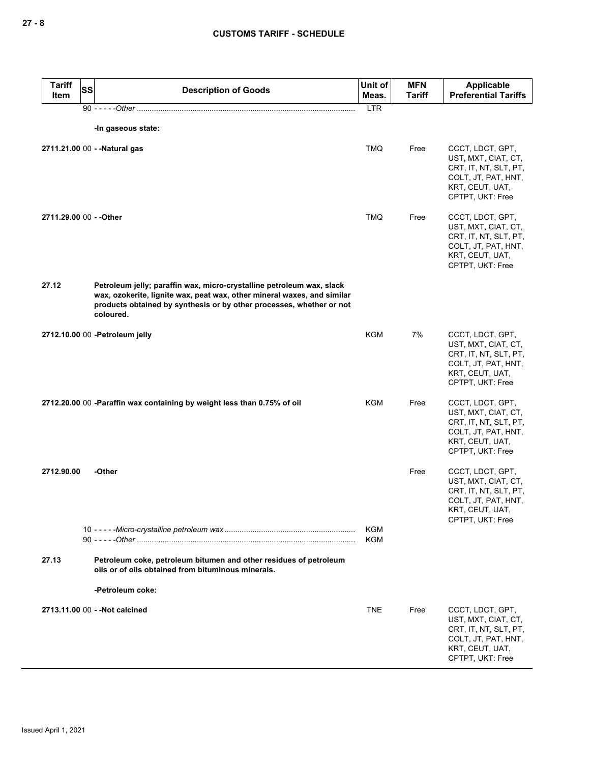| <b>Tariff</b><br>Item   | <b>SS</b> | <b>Description of Goods</b>                                                                                                                                                                                                           | Unit of<br>Meas. | <b>MFN</b><br>Tariff | Applicable<br><b>Preferential Tariffs</b>                                                                                      |
|-------------------------|-----------|---------------------------------------------------------------------------------------------------------------------------------------------------------------------------------------------------------------------------------------|------------------|----------------------|--------------------------------------------------------------------------------------------------------------------------------|
|                         |           |                                                                                                                                                                                                                                       | <b>LTR</b>       |                      |                                                                                                                                |
|                         |           | -In gaseous state:                                                                                                                                                                                                                    |                  |                      |                                                                                                                                |
|                         |           | 2711.21.00 00 - - Natural gas                                                                                                                                                                                                         | <b>TMQ</b>       | Free                 | CCCT, LDCT, GPT,<br>UST, MXT, CIAT, CT,<br>CRT, IT, NT, SLT, PT,<br>COLT, JT, PAT, HNT,<br>KRT, CEUT, UAT,<br>CPTPT, UKT: Free |
| 2711.29.00 00 - - Other |           |                                                                                                                                                                                                                                       | <b>TMQ</b>       | Free                 | CCCT, LDCT, GPT,<br>UST, MXT, CIAT, CT,<br>CRT, IT, NT, SLT, PT,<br>COLT, JT, PAT, HNT,<br>KRT, CEUT, UAT,<br>CPTPT, UKT: Free |
| 27.12                   |           | Petroleum jelly; paraffin wax, micro-crystalline petroleum wax, slack<br>wax, ozokerite, lignite wax, peat wax, other mineral waxes, and similar<br>products obtained by synthesis or by other processes, whether or not<br>coloured. |                  |                      |                                                                                                                                |
|                         |           | 2712.10.00 00 -Petroleum jelly                                                                                                                                                                                                        | <b>KGM</b>       | 7%                   | CCCT, LDCT, GPT,<br>UST, MXT, CIAT, CT,<br>CRT, IT, NT, SLT, PT,<br>COLT, JT, PAT, HNT,<br>KRT, CEUT, UAT,<br>CPTPT, UKT: Free |
|                         |           | 2712.20.00 00 -Paraffin wax containing by weight less than 0.75% of oil                                                                                                                                                               | KGM              | Free                 | CCCT, LDCT, GPT,<br>UST, MXT, CIAT, CT,<br>CRT, IT, NT, SLT, PT,<br>COLT, JT, PAT, HNT,<br>KRT, CEUT, UAT,<br>CPTPT, UKT: Free |
| 2712.90.00              |           | -Other                                                                                                                                                                                                                                |                  | Free                 | CCCT, LDCT, GPT,<br>UST, MXT, CIAT, CT,<br>CRT, IT, NT, SLT, PT,<br>COLT, JT, PAT, HNT,<br>KRT, CEUT, UAT,<br>CPTPT, UKT: Free |
|                         |           |                                                                                                                                                                                                                                       | KGM<br>KGM       |                      |                                                                                                                                |
| 27.13                   |           | Petroleum coke, petroleum bitumen and other residues of petroleum<br>oils or of oils obtained from bituminous minerals.                                                                                                               |                  |                      |                                                                                                                                |
|                         |           | -Petroleum coke:                                                                                                                                                                                                                      |                  |                      |                                                                                                                                |
|                         |           | 2713.11.00 00 - - Not calcined                                                                                                                                                                                                        | <b>TNE</b>       | Free                 | CCCT, LDCT, GPT,<br>UST, MXT, CIAT, CT,<br>CRT, IT, NT, SLT, PT,<br>COLT, JT, PAT, HNT,<br>KRT, CEUT, UAT,<br>CPTPT, UKT: Free |